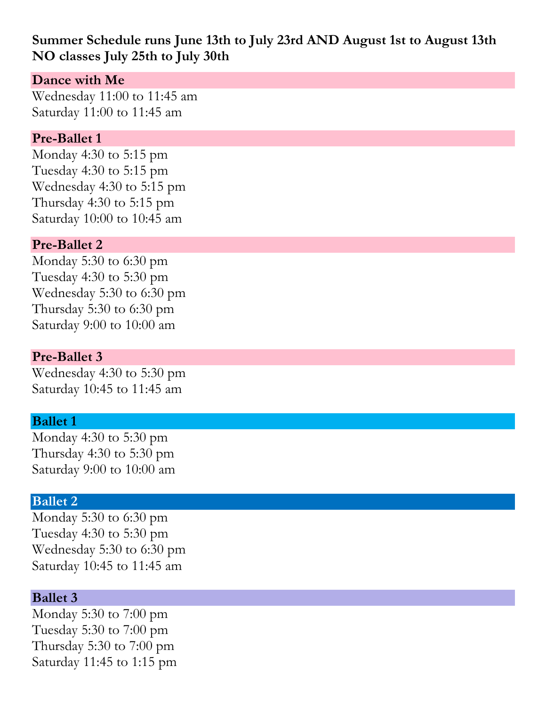# **Summer Schedule runs June 13th to July 23rd AND August 1st to August 13th NO classes July 25th to July 30th**

## **Dance with Me**

Wednesday 11:00 to 11:45 am Saturday 11:00 to 11:45 am

### **Pre-Ballet 1**

Monday 4:30 to 5:15 pm Tuesday 4:30 to 5:15 pm Wednesday 4:30 to 5:15 pm Thursday 4:30 to 5:15 pm Saturday 10:00 to 10:45 am

## **Pre-Ballet 2**

Monday 5:30 to 6:30 pm Tuesday 4:30 to 5:30 pm Wednesday 5:30 to 6:30 pm Thursday 5:30 to 6:30 pm Saturday 9:00 to 10:00 am

## **Pre-Ballet 3**

Wednesday 4:30 to 5:30 pm Saturday 10:45 to 11:45 am

### **Ballet 1**

Monday 4:30 to 5:30 pm Thursday 4:30 to 5:30 pm Saturday 9:00 to 10:00 am

### **Ballet 2**

Monday 5:30 to 6:30 pm Tuesday 4:30 to 5:30 pm Wednesday 5:30 to 6:30 pm Saturday 10:45 to 11:45 am

### **Ballet 3**

Monday 5:30 to 7:00 pm Tuesday 5:30 to 7:00 pm Thursday 5:30 to 7:00 pm Saturday 11:45 to 1:15 pm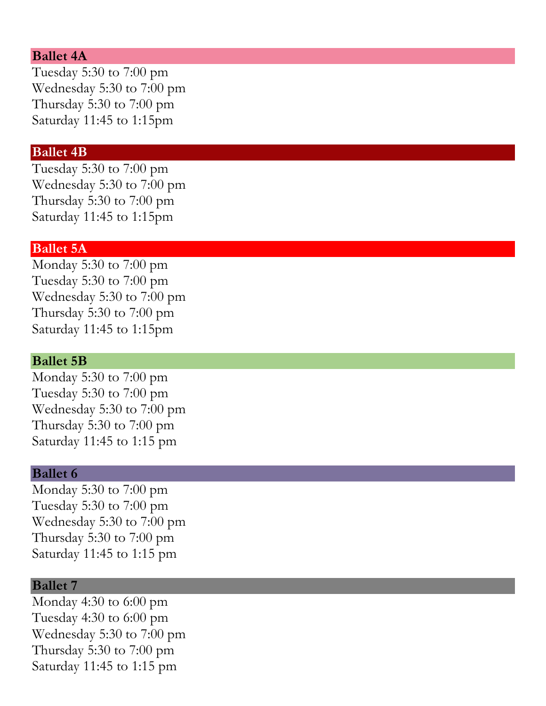#### **Ballet 4A**

Tuesday 5:30 to 7:00 pm Wednesday 5:30 to 7:00 pm Thursday 5:30 to 7:00 pm Saturday 11:45 to 1:15pm

#### **Ballet 4B**

Tuesday 5:30 to 7:00 pm Wednesday 5:30 to 7:00 pm Thursday 5:30 to 7:00 pm Saturday 11:45 to 1:15pm

#### **Ballet 5A**

Monday 5:30 to 7:00 pm Tuesday 5:30 to 7:00 pm Wednesday 5:30 to 7:00 pm Thursday 5:30 to 7:00 pm Saturday 11:45 to 1:15pm

#### **Ballet 5B**

Monday 5:30 to 7:00 pm Tuesday 5:30 to 7:00 pm Wednesday 5:30 to 7:00 pm Thursday 5:30 to 7:00 pm Saturday 11:45 to 1:15 pm

#### **Ballet 6**

Monday 5:30 to 7:00 pm Tuesday 5:30 to 7:00 pm Wednesday 5:30 to 7:00 pm Thursday 5:30 to 7:00 pm Saturday 11:45 to 1:15 pm

#### **Ballet 7**

Monday 4:30 to 6:00 pm Tuesday 4:30 to 6:00 pm Wednesday 5:30 to 7:00 pm Thursday 5:30 to 7:00 pm Saturday 11:45 to 1:15 pm